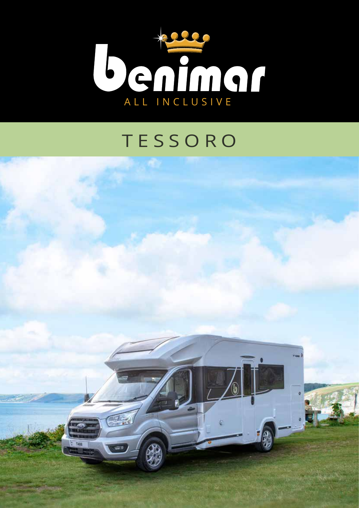

## TESSORO